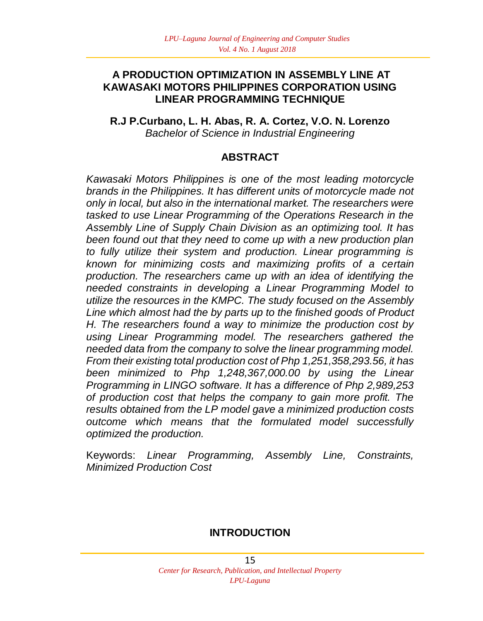### **A PRODUCTION OPTIMIZATION IN ASSEMBLY LINE AT KAWASAKI MOTORS PHILIPPINES CORPORATION USING LINEAR PROGRAMMING TECHNIQUE**

**R.J P.Curbano, L. H. Abas, R. A. Cortez, V.O. N. Lorenzo** *Bachelor of Science in Industrial Engineering*

### **ABSTRACT**

*Kawasaki Motors Philippines is one of the most leading motorcycle brands in the Philippines. It has different units of motorcycle made not only in local, but also in the international market. The researchers were tasked to use Linear Programming of the Operations Research in the Assembly Line of Supply Chain Division as an optimizing tool. It has been found out that they need to come up with a new production plan to fully utilize their system and production. Linear programming is known for minimizing costs and maximizing profits of a certain production. The researchers came up with an idea of identifying the needed constraints in developing a Linear Programming Model to utilize the resources in the KMPC. The study focused on the Assembly Line which almost had the by parts up to the finished goods of Product H. The researchers found a way to minimize the production cost by using Linear Programming model. The researchers gathered the needed data from the company to solve the linear programming model. From their existing total production cost of Php 1,251,358,293.56, it has been minimized to Php 1,248,367,000.00 by using the Linear Programming in LINGO software. It has a difference of Php 2,989,253 of production cost that helps the company to gain more profit. The results obtained from the LP model gave a minimized production costs outcome which means that the formulated model successfully optimized the production.*

Keywords: *Linear Programming, Assembly Line, Constraints, Minimized Production Cost*

### **INTRODUCTION**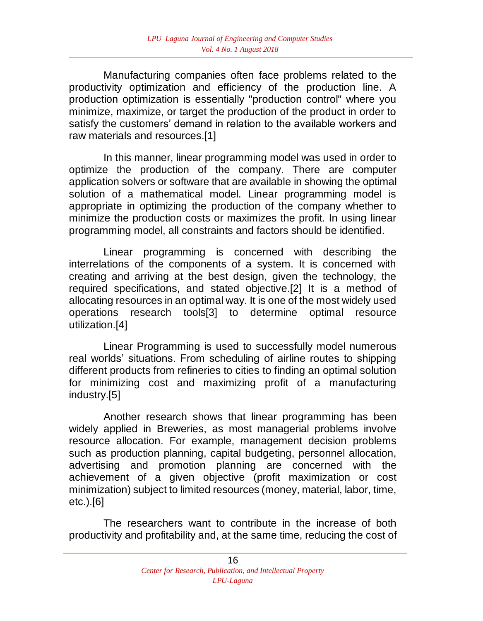Manufacturing companies often face problems related to the productivity optimization and efficiency of the production line. A production optimization is essentially "production control" where you minimize, maximize, or target the production of the product in order to satisfy the customers' demand in relation to the available workers and raw materials and resources.[1]

In this manner, linear programming model was used in order to optimize the production of the company. There are computer application solvers or software that are available in showing the optimal solution of a mathematical model. Linear programming model is appropriate in optimizing the production of the company whether to minimize the production costs or maximizes the profit. In using linear programming model, all constraints and factors should be identified.

Linear programming is concerned with describing the interrelations of the components of a system. It is concerned with creating and arriving at the best design, given the technology, the required specifications, and stated objective.[2] It is a method of allocating resources in an optimal way. It is one of the most widely used operations research tools[3] to determine optimal resource utilization.[4]

Linear Programming is used to successfully model numerous real worlds' situations. From scheduling of airline routes to shipping different products from refineries to cities to finding an optimal solution for minimizing cost and maximizing profit of a manufacturing industry.[5]

Another research shows that linear programming has been widely applied in Breweries, as most managerial problems involve resource allocation. For example, management decision problems such as production planning, capital budgeting, personnel allocation, advertising and promotion planning are concerned with the achievement of a given objective (profit maximization or cost minimization) subject to limited resources (money, material, labor, time, etc.).[6]

The researchers want to contribute in the increase of both productivity and profitability and, at the same time, reducing the cost of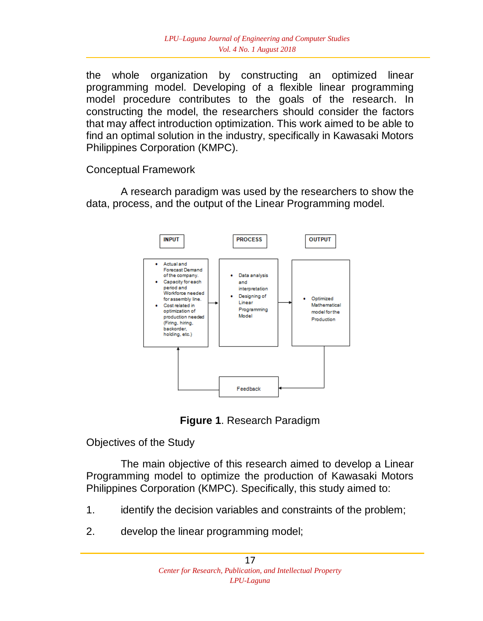the whole organization by constructing an optimized linear programming model. Developing of a flexible linear programming model procedure contributes to the goals of the research. In constructing the model, the researchers should consider the factors that may affect introduction optimization. This work aimed to be able to find an optimal solution in the industry, specifically in Kawasaki Motors Philippines Corporation (KMPC).

Conceptual Framework

A research paradigm was used by the researchers to show the data, process, and the output of the Linear Programming model.



**Figure 1**. Research Paradigm

Objectives of the Study

The main objective of this research aimed to develop a Linear Programming model to optimize the production of Kawasaki Motors Philippines Corporation (KMPC). Specifically, this study aimed to:

- 1. identify the decision variables and constraints of the problem;
- 2. develop the linear programming model;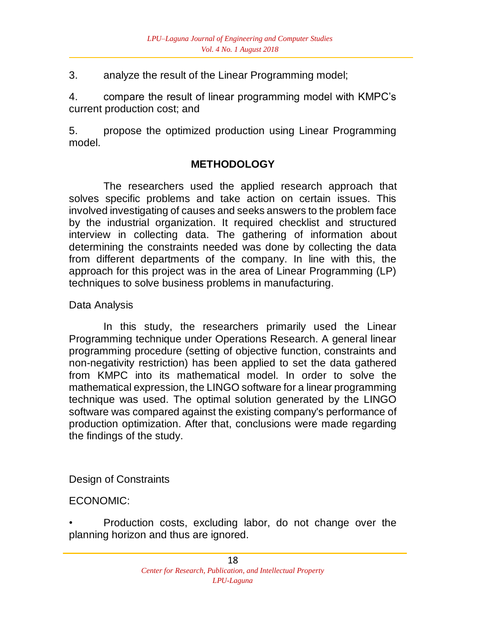3. analyze the result of the Linear Programming model;

4. compare the result of linear programming model with KMPC's current production cost; and

5. propose the optimized production using Linear Programming model.

# **METHODOLOGY**

The researchers used the applied research approach that solves specific problems and take action on certain issues. This involved investigating of causes and seeks answers to the problem face by the industrial organization. It required checklist and structured interview in collecting data. The gathering of information about determining the constraints needed was done by collecting the data from different departments of the company. In line with this, the approach for this project was in the area of Linear Programming (LP) techniques to solve business problems in manufacturing.

## Data Analysis

In this study, the researchers primarily used the Linear Programming technique under Operations Research. A general linear programming procedure (setting of objective function, constraints and non-negativity restriction) has been applied to set the data gathered from KMPC into its mathematical model. In order to solve the mathematical expression, the LINGO software for a linear programming technique was used. The optimal solution generated by the LINGO software was compared against the existing company's performance of production optimization. After that, conclusions were made regarding the findings of the study.

## Design of Constraints

### ECONOMIC:

• Production costs, excluding labor, do not change over the planning horizon and thus are ignored.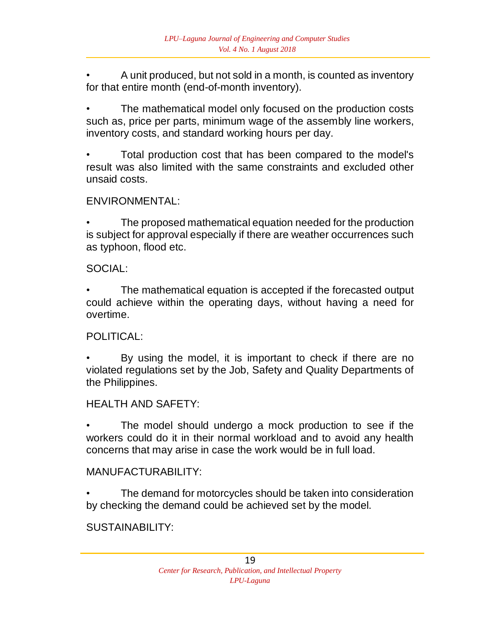• A unit produced, but not sold in a month, is counted as inventory for that entire month (end-of-month inventory).

The mathematical model only focused on the production costs such as, price per parts, minimum wage of the assembly line workers, inventory costs, and standard working hours per day.

• Total production cost that has been compared to the model's result was also limited with the same constraints and excluded other unsaid costs.

### ENVIRONMENTAL:

The proposed mathematical equation needed for the production is subject for approval especially if there are weather occurrences such as typhoon, flood etc.

SOCIAL:

The mathematical equation is accepted if the forecasted output could achieve within the operating days, without having a need for overtime.

### POLITICAL:

By using the model, it is important to check if there are no violated regulations set by the Job, Safety and Quality Departments of the Philippines.

### HEALTH AND SAFETY:

The model should undergo a mock production to see if the workers could do it in their normal workload and to avoid any health concerns that may arise in case the work would be in full load.

### MANUFACTURABILITY:

The demand for motorcycles should be taken into consideration by checking the demand could be achieved set by the model.

## SUSTAINABILITY: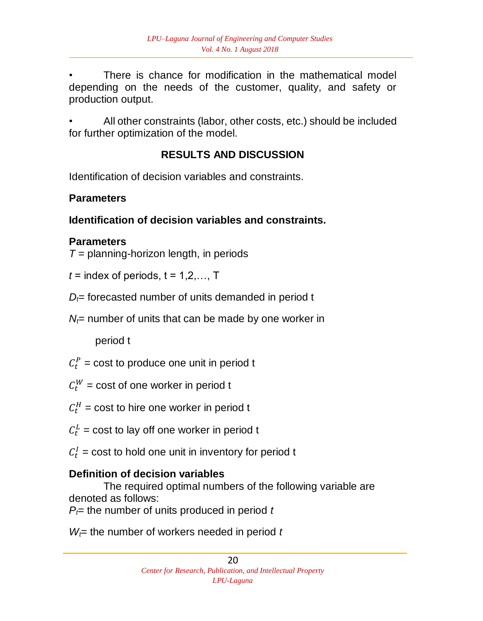There is chance for modification in the mathematical model depending on the needs of the customer, quality, and safety or production output.

• All other constraints (labor, other costs, etc.) should be included for further optimization of the model.

# **RESULTS AND DISCUSSION**

Identification of decision variables and constraints.

# **Parameters**

# **Identification of decision variables and constraints.**

# **Parameters**

 $T =$  planning-horizon length, in periods

 $t =$  index of periods,  $t = 1, 2, \ldots, T$ 

 $D_f$ = forecasted number of units demanded in period t

 $N_f$  number of units that can be made by one worker in

period t

- $C_t^P$  = cost to produce one unit in period t
- $C_t^W$  = cost of one worker in period t
- $C_t^H$  = cost to hire one worker in period t
- $C_t^L$  = cost to lay off one worker in period t
- $C_t^I$  = cost to hold one unit in inventory for period t

# **Definition of decision variables**

The required optimal numbers of the following variable are denoted as follows:

 $P_f$ = the number of units produced in period *t* 

 $W_f$ = the number of workers needed in period  $t$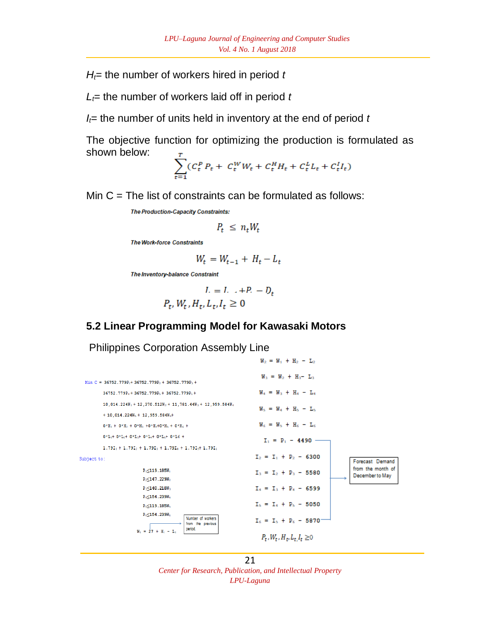$H_f$ = the number of workers hired in period *t* 

 $L_f$ = the number of workers laid off in period  $t$ 

 $I_f$ = the number of units held in inventory at the end of period  $t$ 

The objective function for optimizing the production is formulated as shown below:

$$
\sum_{t=1} \left( C_t^P P_t + C_t^W W_t + C_t^H H_t + C_t^L L_t + C_t^I I_t \right)
$$

Min  $C =$  The list of constraints can be formulated as follows:

**The Production-Capacity Constraints:** 

$$
P_t \leq n_t W_t
$$

**The Work-force Constraints** 

$$
W_t = W_{t-1} + H_t - L_t
$$

The Inventory-balance Constraint

$$
I. = I. \quad +P. - D_t
$$

$$
P_t, W_t, H_t, L_t, I_t \ge 0
$$

## **5.2 Linear Programming Model for Kawasaki Motors**

Philippines Corporation Assembly Line

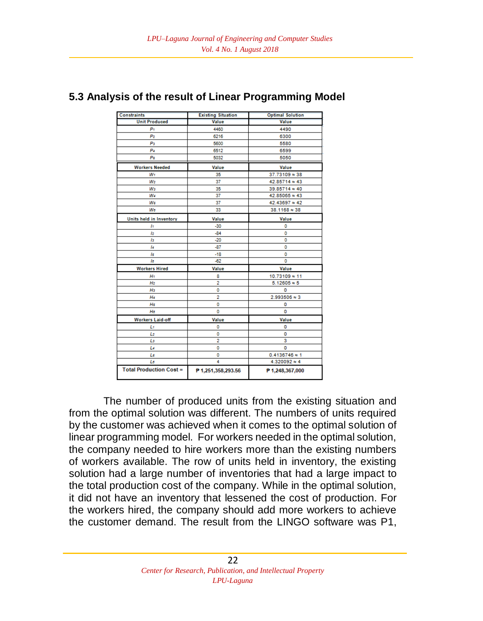| <b>Constraints</b>             | <b>Existing Situation</b> | <b>Optimal Solution</b> |
|--------------------------------|---------------------------|-------------------------|
| <b>Unit Produced</b>           | Value                     | Value                   |
| Pi                             | 4460                      | 4490                    |
| P <sub>2</sub>                 | 6216                      | 6300                    |
| P3                             | 5600                      | 5580                    |
| Pa                             | 6512                      | 6599                    |
| Ps                             | 5032                      | 5050                    |
| <b>Workers Needed</b>          | Value                     | Value                   |
| $W_1$                          | 35                        | 37.73109 ~ 38           |
| $W_2$                          | 37                        | 42.85714 ≈ 43           |
| W <sub>3</sub>                 | 35                        | 39.85714 ≈ 40           |
| Wa                             | 37                        | 42.85065 ≈ 43           |
| Ws                             | 37                        | 42.43697 ≈ 42           |
| Ws                             | 33                        | $38.1168 \approx 38$    |
| Units held in Inventory        | Value                     | Value                   |
| h                              | $-30$                     | o                       |
| l2                             | $-84$                     | 0                       |
| Iз                             | $-20$                     | o                       |
| l4                             | $-87$                     | o                       |
| ls                             | $-18$                     | o                       |
| lв                             | $-62$                     | Ō                       |
| <b>Workers Hired</b>           | Value                     | Value                   |
| Ht                             | 8                         | 10.73109 ≈ 11           |
| H <sub>2</sub>                 | $\overline{2}$            | $5.12605 \approx 5$     |
| Hз                             | ٥                         | o                       |
| H4                             | $\overline{2}$            | $2.993506 \approx 3$    |
| Hs                             | ٥                         | o                       |
| Hs                             | ٥                         | o                       |
| <b>Workers Laid-off</b>        | Value                     | Value                   |
| Ŀf                             | 0                         | 0                       |
| Ŀ                              | o                         | Ō                       |
| Lз                             | $\overline{2}$            | 3                       |
| Le                             | 0                         | o                       |
| Ls                             | 0                         | $0.4136746 \approx 1$   |
| Lδ                             | 4                         | $4.320092 \approx 4$    |
| <b>Total Production Cost =</b> | P 1,251,358,293.56        | P 1,248,367,000         |

#### **5.3 Analysis of the result of Linear Programming Model**

The number of produced units from the existing situation and from the optimal solution was different. The numbers of units required by the customer was achieved when it comes to the optimal solution of linear programming model. For workers needed in the optimal solution, the company needed to hire workers more than the existing numbers of workers available. The row of units held in inventory, the existing solution had a large number of inventories that had a large impact to the total production cost of the company. While in the optimal solution, it did not have an inventory that lessened the cost of production. For the workers hired, the company should add more workers to achieve the customer demand. The result from the LINGO software was P1,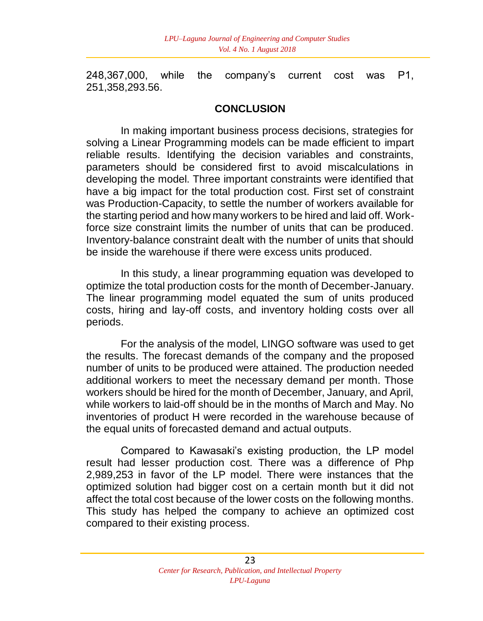248,367,000, while the company's current cost was P1, 251,358,293.56.

#### **CONCLUSION**

In making important business process decisions, strategies for solving a Linear Programming models can be made efficient to impart reliable results. Identifying the decision variables and constraints, parameters should be considered first to avoid miscalculations in developing the model. Three important constraints were identified that have a big impact for the total production cost. First set of constraint was Production-Capacity, to settle the number of workers available for the starting period and how many workers to be hired and laid off. Workforce size constraint limits the number of units that can be produced. Inventory-balance constraint dealt with the number of units that should be inside the warehouse if there were excess units produced.

In this study, a linear programming equation was developed to optimize the total production costs for the month of December-January. The linear programming model equated the sum of units produced costs, hiring and lay-off costs, and inventory holding costs over all periods.

For the analysis of the model, LINGO software was used to get the results. The forecast demands of the company and the proposed number of units to be produced were attained. The production needed additional workers to meet the necessary demand per month. Those workers should be hired for the month of December, January, and April, while workers to laid-off should be in the months of March and May. No inventories of product H were recorded in the warehouse because of the equal units of forecasted demand and actual outputs.

Compared to Kawasaki's existing production, the LP model result had lesser production cost. There was a difference of Php 2,989,253 in favor of the LP model. There were instances that the optimized solution had bigger cost on a certain month but it did not affect the total cost because of the lower costs on the following months. This study has helped the company to achieve an optimized cost compared to their existing process.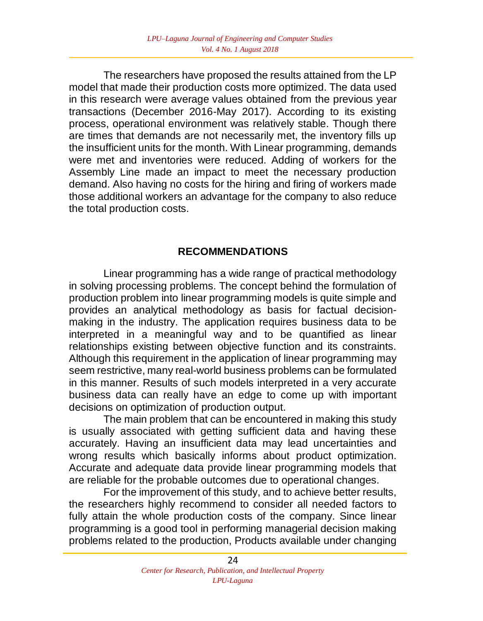The researchers have proposed the results attained from the LP model that made their production costs more optimized. The data used in this research were average values obtained from the previous year transactions (December 2016-May 2017). According to its existing process, operational environment was relatively stable. Though there are times that demands are not necessarily met, the inventory fills up the insufficient units for the month. With Linear programming, demands were met and inventories were reduced. Adding of workers for the Assembly Line made an impact to meet the necessary production demand. Also having no costs for the hiring and firing of workers made those additional workers an advantage for the company to also reduce the total production costs.

### **RECOMMENDATIONS**

Linear programming has a wide range of practical methodology in solving processing problems. The concept behind the formulation of production problem into linear programming models is quite simple and provides an analytical methodology as basis for factual decisionmaking in the industry. The application requires business data to be interpreted in a meaningful way and to be quantified as linear relationships existing between objective function and its constraints. Although this requirement in the application of linear programming may seem restrictive, many real-world business problems can be formulated in this manner. Results of such models interpreted in a very accurate business data can really have an edge to come up with important decisions on optimization of production output.

The main problem that can be encountered in making this study is usually associated with getting sufficient data and having these accurately. Having an insufficient data may lead uncertainties and wrong results which basically informs about product optimization. Accurate and adequate data provide linear programming models that are reliable for the probable outcomes due to operational changes.

For the improvement of this study, and to achieve better results, the researchers highly recommend to consider all needed factors to fully attain the whole production costs of the company. Since linear programming is a good tool in performing managerial decision making problems related to the production, Products available under changing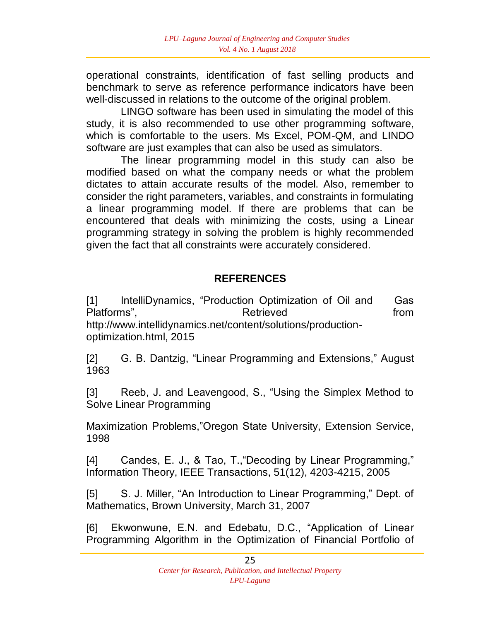operational constraints, identification of fast selling products and benchmark to serve as reference performance indicators have been well-discussed in relations to the outcome of the original problem.

LINGO software has been used in simulating the model of this study, it is also recommended to use other programming software, which is comfortable to the users. Ms Excel, POM-QM, and LINDO software are just examples that can also be used as simulators.

The linear programming model in this study can also be modified based on what the company needs or what the problem dictates to attain accurate results of the model. Also, remember to consider the right parameters, variables, and constraints in formulating a linear programming model. If there are problems that can be encountered that deals with minimizing the costs, using a Linear programming strategy in solving the problem is highly recommended given the fact that all constraints were accurately considered.

# **REFERENCES**

[1] IntelliDynamics, "Production Optimization of Oil and Gas Platforms", the contract of Retrieved the contract of the from the contract of the contract of the Retrieved to the from the contract of the contract of the contract of the contract of the contract of the contract of the c http://www.intellidynamics.net/content/solutions/productionoptimization.html, 2015

[2] G. B. Dantzig, "Linear Programming and Extensions," August 1963

[3] Reeb, J. and Leavengood, S., "Using the Simplex Method to Solve Linear Programming

Maximization Problems,"Oregon State University, Extension Service, 1998

[4] Candes, E. J., & Tao, T., "Decoding by Linear Programming," Information Theory, IEEE Transactions, 51(12), 4203-4215, 2005

[5] S. J. Miller, "An Introduction to Linear Programming," Dept. of Mathematics, Brown University, March 31, 2007

[6] Ekwonwune, E.N. and Edebatu, D.C., "Application of Linear Programming Algorithm in the Optimization of Financial Portfolio of